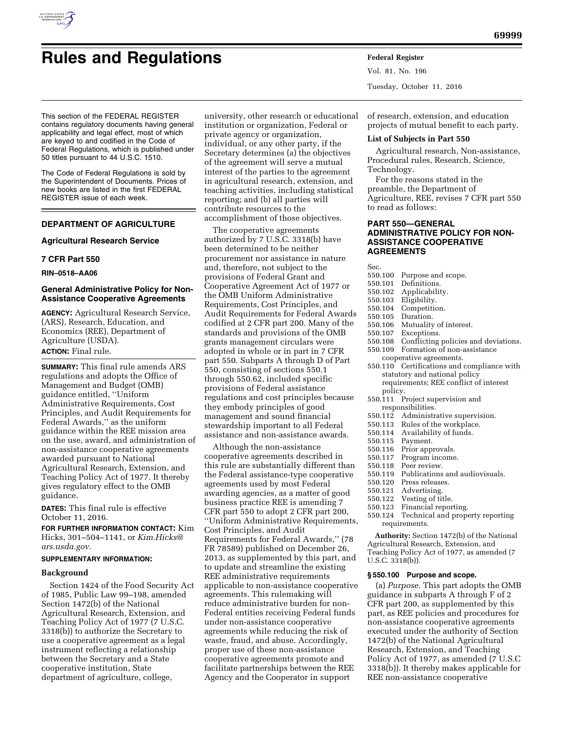

# **Rules and Regulations Federal Register**

This section of the FEDERAL REGISTER contains regulatory documents having general applicability and legal effect, most of which are keyed to and codified in the Code of Federal Regulations, which is published under 50 titles pursuant to 44 U.S.C. 1510.

The Code of Federal Regulations is sold by the Superintendent of Documents. Prices of new books are listed in the first FEDERAL REGISTER issue of each week.

# **DEPARTMENT OF AGRICULTURE**

## **Agricultural Research Service**

## **7 CFR Part 550**

**RIN–0518–AA06** 

# **General Administrative Policy for Non-Assistance Cooperative Agreements**

**AGENCY:** Agricultural Research Service, (ARS), Research, Education, and Economics (REE), Department of Agriculture (USDA). **ACTION:** Final rule.

**SUMMARY:** This final rule amends ARS regulations and adopts the Office of Management and Budget (OMB) guidance entitled, ''Uniform Administrative Requirements, Cost Principles, and Audit Requirements for Federal Awards,'' as the uniform guidance within the REE mission area on the use, award, and administration of non-assistance cooperative agreements awarded pursuant to National Agricultural Research, Extension, and Teaching Policy Act of 1977. It thereby gives regulatory effect to the OMB guidance.

**DATES:** This final rule is effective October 11, 2016.

**FOR FURTHER INFORMATION CONTACT:** Kim Hicks, 301–504–1141, or *[Kim.Hicks@](mailto:Kim.Hicks@ars.usda.gov) [ars.usda.gov.](mailto:Kim.Hicks@ars.usda.gov)* 

## **SUPPLEMENTARY INFORMATION:**

## **Background**

Section 1424 of the Food Security Act of 1985, Public Law 99–198, amended Section 1472(b) of the National Agricultural Research, Extension, and Teaching Policy Act of 1977 (7 U.S.C. 3318(b)) to authorize the Secretary to use a cooperative agreement as a legal instrument reflecting a relationship between the Secretary and a State cooperative institution, State department of agriculture, college,

university, other research or educational institution or organization, Federal or private agency or organization, individual, or any other party, if the Secretary determines (a) the objectives of the agreement will serve a mutual interest of the parties to the agreement in agricultural research, extension, and teaching activities, including statistical reporting; and (b) all parties will contribute resources to the accomplishment of those objectives.

The cooperative agreements authorized by 7 U.S.C. 3318(b) have been determined to be neither procurement nor assistance in nature and, therefore, not subject to the provisions of Federal Grant and Cooperative Agreement Act of 1977 or the OMB Uniform Administrative Requirements, Cost Principles, and Audit Requirements for Federal Awards codified at 2 CFR part 200. Many of the standards and provisions of the OMB grants management circulars were adopted in whole or in part in 7 CFR part 550. Subparts A through D of Part 550, consisting of sections 550.1 through 550.62, included specific provisions of Federal assistance regulations and cost principles because they embody principles of good management and sound financial stewardship important to all Federal assistance and non-assistance awards.

Although the non-assistance cooperative agreements described in this rule are substantially different than the Federal assistance-type cooperative agreements used by most Federal awarding agencies, as a matter of good business practice REE is amending 7 CFR part 550 to adopt 2 CFR part 200, ''Uniform Administrative Requirements, Cost Principles, and Audit Requirements for Federal Awards,'' (78 FR 78589) published on December 26, 2013, as supplemented by this part, and to update and streamline the existing REE administrative requirements applicable to non-assistance cooperative agreements. This rulemaking will reduce administrative burden for non-Federal entities receiving Federal funds under non-assistance cooperative agreements while reducing the risk of waste, fraud, and abuse. Accordingly, proper use of these non-assistance cooperative agreements promote and facilitate partnerships between the REE Agency and the Cooperator in support

Vol. 81, No. 196 Tuesday, October 11, 2016

of research, extension, and education projects of mutual benefit to each party.

#### **List of Subjects in Part 550**

Agricultural research, Non-assistance, Procedural rules, Research, Science, Technology.

For the reasons stated in the preamble, the Department of Agriculture, REE, revises 7 CFR part 550 to read as follows:

# **PART 550—GENERAL ADMINISTRATIVE POLICY FOR NON-ASSISTANCE COOPERATIVE AGREEMENTS**

Sec.

- 550.100 Purpose and scope.
- 550.101 Definitions.
- 550.102 Applicability.
- 550.103 Eligibility.
- 550.104 Competition.
- 550.105 Duration.
- 550.106 Mutuality of interest.
- Exceptions.
- 550.108 Conflicting policies and deviations.
- 550.109 Formation of non-assistance cooperative agreements.
- 550.110 Certifications and compliance with statutory and national policy requirements; REE conflict of interest policy.
- 550.111 Project supervision and
- responsibilities.<br>550.112 Administr Administrative supervision.
- 550.113 Rules of the workplace.
- 550.114 Availability of funds.
- 550.115 Payment.
- Prior approvals.
- 550.117 Program income.
- 550.118 Peer review.
- 550.119 Publications and audiovisuals.
- 550.120 Press releases.
- Advertising.
- 550.122 Vesting of title.
- 550.123 Financial reporting.
- Technical and property reporting requirements.

**Authority:** Section 1472(b) of the National Agricultural Research, Extension, and Teaching Policy Act of 1977, as amended (7 U.S.C. 3318(b)).

# **§ 550.100 Purpose and scope.**

(a) *Purpose.* This part adopts the OMB guidance in subparts A through F of 2 CFR part 200, as supplemented by this part, as REE policies and procedures for non-assistance cooperative agreements executed under the authority of Section 1472(b) of the National Agricultural Research, Extension, and Teaching Policy Act of 1977, as amended (7 U.S.C 3318(b)). It thereby makes applicable for REE non-assistance cooperative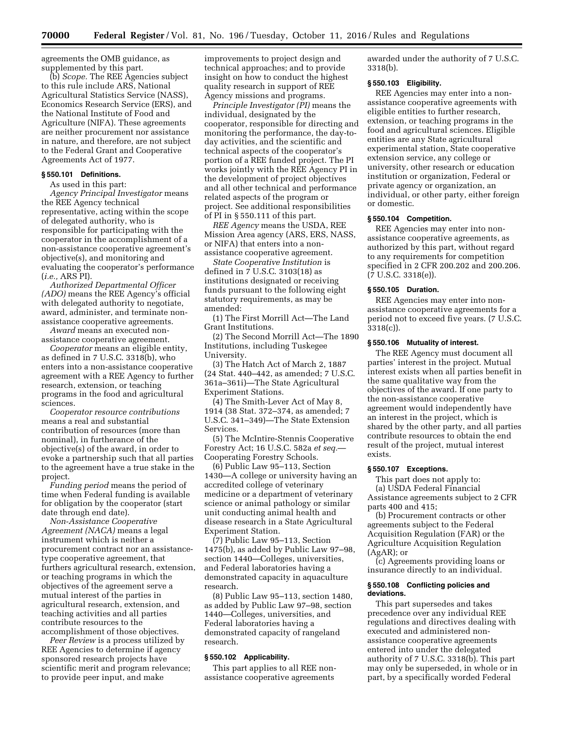agreements the OMB guidance, as supplemented by this part.

(b) *Scope.* The REE Agencies subject to this rule include ARS, National Agricultural Statistics Service (NASS), Economics Research Service (ERS), and the National Institute of Food and Agriculture (NIFA). These agreements are neither procurement nor assistance in nature, and therefore, are not subject to the Federal Grant and Cooperative Agreements Act of 1977.

#### **§ 550.101 Definitions.**

As used in this part:

*Agency Principal Investigator* means the REE Agency technical representative, acting within the scope of delegated authority, who is responsible for participating with the cooperator in the accomplishment of a non-assistance cooperative agreement's objective(s), and monitoring and evaluating the cooperator's performance (*i.e.,* ARS PI).

*Authorized Departmental Officer (ADO)* means the REE Agency's official with delegated authority to negotiate, award, administer, and terminate nonassistance cooperative agreements.

*Award* means an executed nonassistance cooperative agreement.

*Cooperator* means an eligible entity, as defined in 7 U.S.C. 3318(b), who enters into a non-assistance cooperative agreement with a REE Agency to further research, extension, or teaching programs in the food and agricultural sciences.

*Cooperator resource contributions*  means a real and substantial contribution of resources (more than nominal), in furtherance of the objective(s) of the award, in order to evoke a partnership such that all parties to the agreement have a true stake in the project.

*Funding period* means the period of time when Federal funding is available for obligation by the cooperator (start date through end date).

*Non-Assistance Cooperative Agreement (NACA)* means a legal instrument which is neither a procurement contract nor an assistancetype cooperative agreement, that furthers agricultural research, extension, or teaching programs in which the objectives of the agreement serve a mutual interest of the parties in agricultural research, extension, and teaching activities and all parties contribute resources to the accomplishment of those objectives.

*Peer Review* is a process utilized by REE Agencies to determine if agency sponsored research projects have scientific merit and program relevance; to provide peer input, and make

improvements to project design and technical approaches; and to provide insight on how to conduct the highest quality research in support of REE Agency missions and programs.

*Principle Investigator (PI)* means the individual, designated by the cooperator, responsible for directing and monitoring the performance, the day-today activities, and the scientific and technical aspects of the cooperator's portion of a REE funded project. The PI works jointly with the REE Agency PI in the development of project objectives and all other technical and performance related aspects of the program or project. See additional responsibilities of PI in § 550.111 of this part.

*REE Agency* means the USDA, REE Mission Area agency (ARS, ERS, NASS, or NIFA) that enters into a nonassistance cooperative agreement.

*State Cooperative Institution* is defined in 7 U.S.C. 3103(18) as institutions designated or receiving funds pursuant to the following eight statutory requirements, as may be amended:

(1) The First Morrill Act—The Land Grant Institutions.

(2) The Second Morrill Act—The 1890 Institutions, including Tuskegee University.

(3) The Hatch Act of March 2, 1887 (24 Stat. 440–442, as amended; 7 U.S.C. 361a–361i)—The State Agricultural Experiment Stations.

(4) The Smith-Lever Act of May 8, 1914 (38 Stat. 372–374, as amended; 7 U.S.C. 341–349)—The State Extension Services.

(5) The McIntire-Stennis Cooperative Forestry Act; 16 U.S.C. 582a *et seq.*— Cooperating Forestry Schools.

(6) Public Law 95–113, Section 1430—A college or university having an accredited college of veterinary medicine or a department of veterinary science or animal pathology or similar unit conducting animal health and disease research in a State Agricultural Experiment Station.

(7) Public Law 95–113, Section 1475(b), as added by Public Law 97–98, section 1440—Colleges, universities, and Federal laboratories having a demonstrated capacity in aquaculture research.

(8) Public Law 95–113, section 1480, as added by Public Law 97–98, section 1440—Colleges, universities, and Federal laboratories having a demonstrated capacity of rangeland research.

#### **§ 550.102 Applicability.**

This part applies to all REE nonassistance cooperative agreements

awarded under the authority of 7 U.S.C. 3318(b).

## **§ 550.103 Eligibility.**

REE Agencies may enter into a nonassistance cooperative agreements with eligible entities to further research, extension, or teaching programs in the food and agricultural sciences. Eligible entities are any State agricultural experimental station, State cooperative extension service, any college or university, other research or education institution or organization, Federal or private agency or organization, an individual, or other party, either foreign or domestic.

## **§ 550.104 Competition.**

REE Agencies may enter into nonassistance cooperative agreements, as authorized by this part, without regard to any requirements for competition specified in 2 CFR 200.202 and 200.206. (7 U.S.C. 3318(e)).

## **§ 550.105 Duration.**

REE Agencies may enter into nonassistance cooperative agreements for a period not to exceed five years. (7 U.S.C. 3318(c)).

## **§ 550.106 Mutuality of interest.**

The REE Agency must document all parties' interest in the project. Mutual interest exists when all parties benefit in the same qualitative way from the objectives of the award. If one party to the non-assistance cooperative agreement would independently have an interest in the project, which is shared by the other party, and all parties contribute resources to obtain the end result of the project, mutual interest exists.

## **§ 550.107 Exceptions.**

This part does not apply to: (a) USDA Federal Financial Assistance agreements subject to 2 CFR parts 400 and 415;

(b) Procurement contracts or other agreements subject to the Federal Acquisition Regulation (FAR) or the Agriculture Acquisition Regulation (AgAR); or

(c) Agreements providing loans or insurance directly to an individual.

#### **§ 550.108 Conflicting policies and deviations.**

This part supersedes and takes precedence over any individual REE regulations and directives dealing with executed and administered nonassistance cooperative agreements entered into under the delegated authority of 7 U.S.C. 3318(b). This part may only be superseded, in whole or in part, by a specifically worded Federal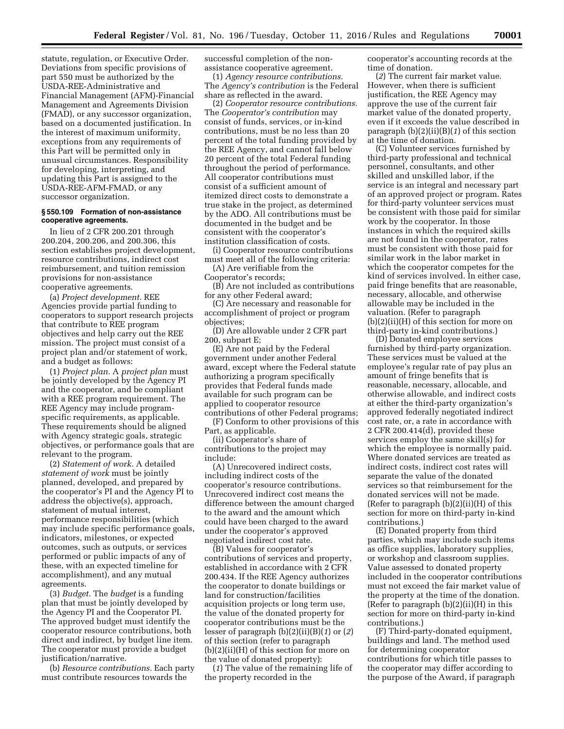statute, regulation, or Executive Order. Deviations from specific provisions of part 550 must be authorized by the USDA-REE-Administrative and Financial Management (AFM)-Financial Management and Agreements Division (FMAD), or any successor organization, based on a documented justification. In the interest of maximum uniformity, exceptions from any requirements of this Part will be permitted only in unusual circumstances. Responsibility for developing, interpreting, and updating this Part is assigned to the USDA-REE-AFM-FMAD, or any successor organization.

## **§ 550.109 Formation of non-assistance cooperative agreements.**

In lieu of 2 CFR 200.201 through 200.204, 200.206, and 200.306, this section establishes project development, resource contributions, indirect cost reimbursement, and tuition remission provisions for non-assistance cooperative agreements.

(a) *Project development.* REE Agencies provide partial funding to cooperators to support research projects that contribute to REE program objectives and help carry out the REE mission. The project must consist of a project plan and/or statement of work, and a budget as follows:

(1) *Project plan.* A *project plan* must be jointly developed by the Agency PI and the cooperator, and be compliant with a REE program requirement. The REE Agency may include programspecific requirements, as applicable. These requirements should be aligned with Agency strategic goals, strategic objectives, or performance goals that are relevant to the program.

(2) *Statement of work.* A detailed *statement of work* must be jointly planned, developed, and prepared by the cooperator's PI and the Agency PI to address the objective(s), approach, statement of mutual interest, performance responsibilities (which may include specific performance goals, indicators, milestones, or expected outcomes, such as outputs, or services performed or public impacts of any of these, with an expected timeline for accomplishment), and any mutual agreements.

(3) *Budget.* The *budget* is a funding plan that must be jointly developed by the Agency PI and the Cooperator PI. The approved budget must identify the cooperator resource contributions, both direct and indirect, by budget line item. The cooperator must provide a budget justification/narrative.

(b) *Resource contributions.* Each party must contribute resources towards the

successful completion of the nonassistance cooperative agreement.

(1) *Agency resource contributions.*  The *Agency's contribution* is the Federal share as reflected in the award.

(2) *Cooperator resource contributions.*  The *Cooperator's contribution* may consist of funds, services, or in-kind contributions, must be no less than 20 percent of the total funding provided by the REE Agency, and cannot fall below 20 percent of the total Federal funding throughout the period of performance. All cooperator contributions must consist of a sufficient amount of itemized direct costs to demonstrate a true stake in the project, as determined by the ADO. All contributions must be documented in the budget and be consistent with the cooperator's institution classification of costs.

(i) Cooperator resource contributions must meet all of the following criteria:

(A) Are verifiable from the Cooperator's records;

(B) Are not included as contributions for any other Federal award;

(C) Are necessary and reasonable for accomplishment of project or program objectives;

(D) Are allowable under 2 CFR part 200, subpart E;

(E) Are not paid by the Federal government under another Federal award, except where the Federal statute authorizing a program specifically provides that Federal funds made available for such program can be applied to cooperator resource contributions of other Federal programs;

(F) Conform to other provisions of this Part, as applicable.

(ii) Cooperator's share of contributions to the project may include:

(A) Unrecovered indirect costs, including indirect costs of the cooperator's resource contributions. Unrecovered indirect cost means the difference between the amount charged to the award and the amount which could have been charged to the award under the cooperator's approved negotiated indirect cost rate.

(B) Values for cooperator's contributions of services and property, established in accordance with 2 CFR 200.434. If the REE Agency authorizes the cooperator to donate buildings or land for construction/facilities acquisition projects or long term use, the value of the donated property for cooperator contributions must be the lesser of paragraph (b)(2)(ii)(B)(*1*) or (*2*) of this section (refer to paragraph (b)(2)(ii)(H) of this section for more on the value of donated property):

(*1*) The value of the remaining life of the property recorded in the

cooperator's accounting records at the time of donation.

(*2*) The current fair market value. However, when there is sufficient justification, the REE Agency may approve the use of the current fair market value of the donated property, even if it exceeds the value described in paragraph (b)(2)(ii)(B)(*1*) of this section at the time of donation.

(C) Volunteer services furnished by third-party professional and technical personnel, consultants, and other skilled and unskilled labor, if the service is an integral and necessary part of an approved project or program. Rates for third-party volunteer services must be consistent with those paid for similar work by the cooperator. In those instances in which the required skills are not found in the cooperator, rates must be consistent with those paid for similar work in the labor market in which the cooperator competes for the kind of services involved. In either case, paid fringe benefits that are reasonable, necessary, allocable, and otherwise allowable may be included in the valuation. (Refer to paragraph (b)(2)(ii)(H) of this section for more on third-party in-kind contributions.)

(D) Donated employee services furnished by third-party organization. These services must be valued at the employee's regular rate of pay plus an amount of fringe benefits that is reasonable, necessary, allocable, and otherwise allowable, and indirect costs at either the third-party organization's approved federally negotiated indirect cost rate, or, a rate in accordance with 2 CFR 200.414(d), provided these services employ the same skill(s) for which the employee is normally paid. Where donated services are treated as indirect costs, indirect cost rates will separate the value of the donated services so that reimbursement for the donated services will not be made. (Refer to paragraph  $(b)(2)(ii)(H)$  of this section for more on third-party in-kind contributions.)

(E) Donated property from third parties, which may include such items as office supplies, laboratory supplies, or workshop and classroom supplies. Value assessed to donated property included in the cooperator contributions must not exceed the fair market value of the property at the time of the donation. (Refer to paragraph (b)(2)(ii)(H) in this section for more on third-party in-kind contributions.)

(F) Third-party-donated equipment, buildings and land. The method used for determining cooperator contributions for which title passes to the cooperator may differ according to the purpose of the Award, if paragraph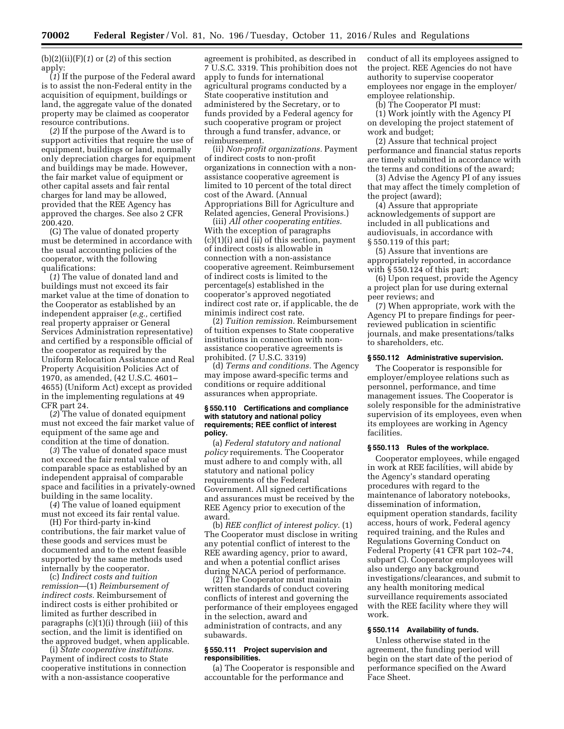(b)(2)(ii)(F)(*1*) or (*2*) of this section apply:

(*1*) If the purpose of the Federal award is to assist the non-Federal entity in the acquisition of equipment, buildings or land, the aggregate value of the donated property may be claimed as cooperator resource contributions.

(*2*) If the purpose of the Award is to support activities that require the use of equipment, buildings or land, normally only depreciation charges for equipment and buildings may be made. However, the fair market value of equipment or other capital assets and fair rental charges for land may be allowed, provided that the REE Agency has approved the charges. See also 2 CFR 200.420.

(G) The value of donated property must be determined in accordance with the usual accounting policies of the cooperator, with the following qualifications:

(*1*) The value of donated land and buildings must not exceed its fair market value at the time of donation to the Cooperator as established by an independent appraiser (*e.g.,* certified real property appraiser or General Services Administration representative) and certified by a responsible official of the cooperator as required by the Uniform Relocation Assistance and Real Property Acquisition Policies Act of 1970, as amended, (42 U.S.C. 4601– 4655) (Uniform Act) except as provided in the implementing regulations at 49 CFR part 24.

(*2*) The value of donated equipment must not exceed the fair market value of equipment of the same age and condition at the time of donation.

(*3*) The value of donated space must not exceed the fair rental value of comparable space as established by an independent appraisal of comparable space and facilities in a privately-owned building in the same locality.

(*4*) The value of loaned equipment must not exceed its fair rental value.

(H) For third-party in-kind contributions, the fair market value of these goods and services must be documented and to the extent feasible supported by the same methods used internally by the cooperator.

(c) *Indirect costs and tuition remission*—(1) *Reimbursement of indirect costs.* Reimbursement of indirect costs is either prohibited or limited as further described in paragraphs (c)(1)(i) through (iii) of this section, and the limit is identified on the approved budget, when applicable.

(i) *State cooperative institutions.*  Payment of indirect costs to State cooperative institutions in connection with a non-assistance cooperative

agreement is prohibited, as described in 7 U.S.C. 3319. This prohibition does not apply to funds for international agricultural programs conducted by a State cooperative institution and administered by the Secretary, or to funds provided by a Federal agency for such cooperative program or project through a fund transfer, advance, or reimbursement.

(ii) *Non-profit organizations.* Payment of indirect costs to non-profit organizations in connection with a nonassistance cooperative agreement is limited to 10 percent of the total direct cost of the Award. (Annual Appropriations Bill for Agriculture and Related agencies, General Provisions.)

(iii) *All other cooperating entities.*  With the exception of paragraphs (c)(1)(i) and (ii) of this section, payment of indirect costs is allowable in connection with a non-assistance cooperative agreement. Reimbursement of indirect costs is limited to the percentage(s) established in the cooperator's approved negotiated indirect cost rate or, if applicable, the de minimis indirect cost rate.

(2) *Tuition remission.* Reimbursement of tuition expenses to State cooperative institutions in connection with nonassistance cooperative agreements is prohibited. (7 U.S.C. 3319)

(d) *Terms and conditions.* The Agency may impose award-specific terms and conditions or require additional assurances when appropriate.

#### **§ 550.110 Certifications and compliance with statutory and national policy requirements; REE conflict of interest policy.**

(a) *Federal statutory and national policy* requirements. The Cooperator must adhere to and comply with, all statutory and national policy requirements of the Federal Government. All signed certifications and assurances must be received by the REE Agency prior to execution of the award.

(b) *REE conflict of interest policy.* (1) The Cooperator must disclose in writing any potential conflict of interest to the REE awarding agency, prior to award, and when a potential conflict arises during NACA period of performance.

(2) The Cooperator must maintain written standards of conduct covering conflicts of interest and governing the performance of their employees engaged in the selection, award and administration of contracts, and any subawards.

## **§ 550.111 Project supervision and responsibilities.**

(a) The Cooperator is responsible and accountable for the performance and

conduct of all its employees assigned to the project. REE Agencies do not have authority to supervise cooperator employees nor engage in the employer/ employee relationship.

(b) The Cooperator PI must:

(1) Work jointly with the Agency PI on developing the project statement of work and budget;

(2) Assure that technical project performance and financial status reports are timely submitted in accordance with the terms and conditions of the award;

(3) Advise the Agency PI of any issues that may affect the timely completion of the project (award);

(4) Assure that appropriate acknowledgements of support are included in all publications and audiovisuals, in accordance with § 550.119 of this part;

(5) Assure that inventions are appropriately reported, in accordance with  $\S$  550.124 of this part;

(6) Upon request, provide the Agency a project plan for use during external peer reviews; and

(7) When appropriate, work with the Agency PI to prepare findings for peerreviewed publication in scientific journals, and make presentations/talks to shareholders, etc.

## **§ 550.112 Administrative supervision.**

The Cooperator is responsible for employer/employee relations such as personnel, performance, and time management issues. The Cooperator is solely responsible for the administrative supervision of its employees, even when its employees are working in Agency facilities.

#### **§ 550.113 Rules of the workplace.**

Cooperator employees, while engaged in work at REE facilities, will abide by the Agency's standard operating procedures with regard to the maintenance of laboratory notebooks, dissemination of information, equipment operation standards, facility access, hours of work, Federal agency required training, and the Rules and Regulations Governing Conduct on Federal Property (41 CFR part 102–74, subpart C). Cooperator employees will also undergo any background investigations/clearances, and submit to any health monitoring medical surveillance requirements associated with the REE facility where they will work.

## **§ 550.114 Availability of funds.**

Unless otherwise stated in the agreement, the funding period will begin on the start date of the period of performance specified on the Award Face Sheet.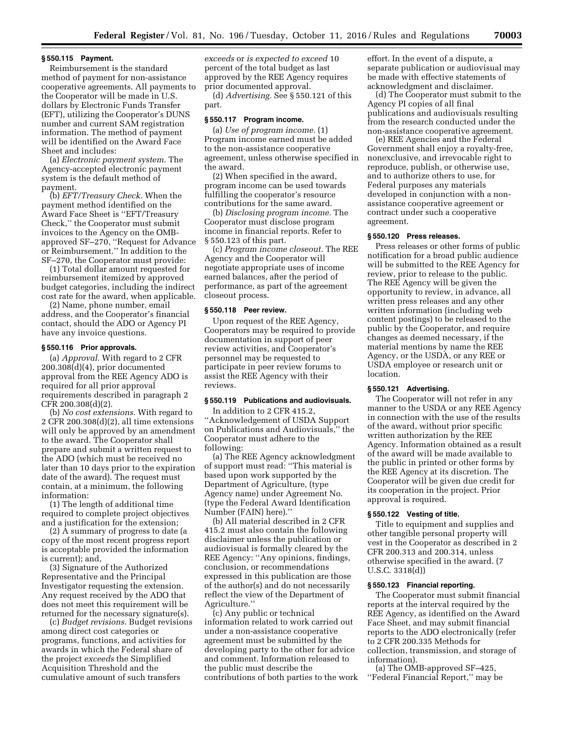#### **§ 550.115 Payment.**

Reimbursement is the standard method of payment for non-assistance cooperative agreements. All payments to the Cooperator will be made in U.S. dollars by Electronic Funds Transfer (EFT), utilizing the Cooperator's DUNS number and current SAM registration information. The method of payment will be identified on the Award Face Sheet and includes:

(a) *Electronic payment system.* The Agency-accepted electronic payment system is the default method of payment.

(b) *EFT/Treasury Check.* When the payment method identified on the Award Face Sheet is ''EFT/Treasury Check,'' the Cooperator must submit invoices to the Agency on the OMBapproved SF–270, ''Request for Advance or Reimbursement.'' In addition to the SF–270, the Cooperator must provide:

(1) Total dollar amount requested for reimbursement itemized by approved budget categories, including the indirect cost rate for the award, when applicable.

(2) Name, phone number, email address, and the Cooperator's financial contact, should the ADO or Agency PI have any invoice questions.

## **§ 550.116 Prior approvals.**

(a) *Approval.* With regard to 2 CFR 200.308(d)(4), prior documented approval from the REE Agency ADO is required for all prior approval requirements described in paragraph 2 CFR 200.308(d)(2).

(b) *No cost extensions.* With regard to 2 CFR 200.308(d)(2), all time extensions will only be approved by an amendment to the award. The Cooperator shall prepare and submit a written request to the ADO (which must be received no later than 10 days prior to the expiration date of the award). The request must contain, at a minimum, the following information:

(1) The length of additional time required to complete project objectives and a justification for the extension;

(2) A summary of progress to date (a copy of the most recent progress report is acceptable provided the information is current); and,

(3) Signature of the Authorized Representative and the Principal Investigator requesting the extension. Any request received by the ADO that does not meet this requirement will be returned for the necessary signature(s).

(c) *Budget revisions.* Budget revisions among direct cost categories or programs, functions, and activities for awards in which the Federal share of the project *exceeds* the Simplified Acquisition Threshold and the cumulative amount of such transfers

*exceeds* or *is expected to exceed* 10 percent of the total budget as last approved by the REE Agency requires prior documented approval.

(d) *Advertising.* See § 550.121 of this part.

## **§ 550.117 Program income.**

(a) *Use of program income.* (1) Program income earned must be added to the non-assistance cooperative agreement, unless otherwise specified in the award.

(2) When specified in the award, program income can be used towards fulfilling the cooperator's resource contributions for the same award.

(b) *Disclosing program income.* The Cooperator must disclose program income in financial reports. Refer to § 550.123 of this part.

(c) *Program income closeout.* The REE Agency and the Cooperator will negotiate appropriate uses of income earned balances, after the period of performance, as part of the agreement closeout process.

#### **§ 550.118 Peer review.**

Upon request of the REE Agency, Cooperators may be required to provide documentation in support of peer review activities, and Cooperator's personnel may be requested to participate in peer review forums to assist the REE Agency with their reviews.

## **§ 550.119 Publications and audiovisuals.**

In addition to 2 CFR 415.2, ''Acknowledgement of USDA Support on Publications and Audiovisuals,'' the Cooperator must adhere to the following:

(a) The REE Agency acknowledgment of support must read: ''This material is based upon work supported by the Department of Agriculture, (type Agency name) under Agreement No. (type the Federal Award Identification Number (FAIN) here).''

(b) All material described in 2 CFR 415.2 must also contain the following disclaimer unless the publication or audiovisual is formally cleared by the REE Agency: ''Any opinions, findings, conclusion, or recommendations expressed in this publication are those of the author(s) and do not necessarily reflect the view of the Department of Agriculture.''

(c) Any public or technical information related to work carried out under a non-assistance cooperative agreement must be submitted by the developing party to the other for advice and comment. Information released to the public must describe the contributions of both parties to the work

effort. In the event of a dispute, a separate publication or audiovisual may be made with effective statements of acknowledgment and disclaimer.

(d) The Cooperator must submit to the Agency PI copies of all final publications and audiovisuals resulting from the research conducted under the non-assistance cooperative agreement.

(e) REE Agencies and the Federal Government shall enjoy a royalty-free, nonexclusive, and irrevocable right to reproduce, publish, or otherwise use, and to authorize others to use, for Federal purposes any materials developed in conjunction with a nonassistance cooperative agreement or contract under such a cooperative agreement.

## **§ 550.120 Press releases.**

Press releases or other forms of public notification for a broad public audience will be submitted to the REE Agency for review, prior to release to the public. The REE Agency will be given the opportunity to review, in advance, all written press releases and any other written information (including web content postings) to be released to the public by the Cooperator, and require changes as deemed necessary, if the material mentions by name the REE Agency, or the USDA, or any REE or USDA employee or research unit or location.

## **§ 550.121 Advertising.**

The Cooperator will not refer in any manner to the USDA or any REE Agency in connection with the use of the results of the award, without prior specific written authorization by the REE Agency. Information obtained as a result of the award will be made available to the public in printed or other forms by the REE Agency at its discretion. The Cooperator will be given due credit for its cooperation in the project. Prior approval is required.

## **§ 550.122 Vesting of title.**

Title to equipment and supplies and other tangible personal property will vest in the Cooperator as described in 2 CFR 200.313 and 200.314, unless otherwise specified in the award. (7 U.S.C. 3318(d))

#### **§ 550.123 Financial reporting.**

The Cooperator must submit financial reports at the interval required by the REE Agency, as identified on the Award Face Sheet, and may submit financial reports to the ADO electronically (refer to 2 CFR 200.335 Methods for collection, transmission, and storage of information).

(a) The OMB-approved SF–425, ''Federal Financial Report,'' may be